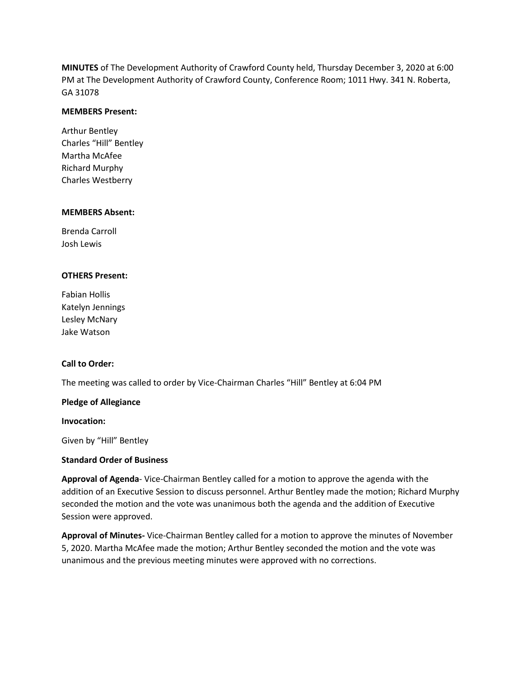**MINUTES** of The Development Authority of Crawford County held, Thursday December 3, 2020 at 6:00 PM at The Development Authority of Crawford County, Conference Room; 1011 Hwy. 341 N. Roberta, GA 31078

### **MEMBERS Present:**

Arthur Bentley Charles "Hill" Bentley Martha McAfee Richard Murphy Charles Westberry

#### **MEMBERS Absent:**

Brenda Carroll Josh Lewis

### **OTHERS Present:**

Fabian Hollis Katelyn Jennings Lesley McNary Jake Watson

### **Call to Order:**

The meeting was called to order by Vice-Chairman Charles "Hill" Bentley at 6:04 PM

### **Pledge of Allegiance**

**Invocation:**

Given by "Hill" Bentley

### **Standard Order of Business**

**Approval of Agenda**- Vice-Chairman Bentley called for a motion to approve the agenda with the addition of an Executive Session to discuss personnel. Arthur Bentley made the motion; Richard Murphy seconded the motion and the vote was unanimous both the agenda and the addition of Executive Session were approved.

**Approval of Minutes-** Vice-Chairman Bentley called for a motion to approve the minutes of November 5, 2020. Martha McAfee made the motion; Arthur Bentley seconded the motion and the vote was unanimous and the previous meeting minutes were approved with no corrections.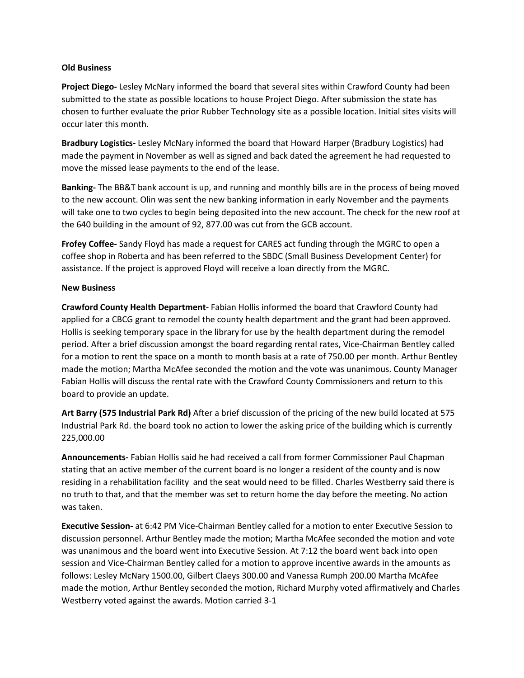## **Old Business**

**Project Diego-** Lesley McNary informed the board that several sites within Crawford County had been submitted to the state as possible locations to house Project Diego. After submission the state has chosen to further evaluate the prior Rubber Technology site as a possible location. Initial sites visits will occur later this month.

**Bradbury Logistics-** Lesley McNary informed the board that Howard Harper (Bradbury Logistics) had made the payment in November as well as signed and back dated the agreement he had requested to move the missed lease payments to the end of the lease.

**Banking-** The BB&T bank account is up, and running and monthly bills are in the process of being moved to the new account. Olin was sent the new banking information in early November and the payments will take one to two cycles to begin being deposited into the new account. The check for the new roof at the 640 building in the amount of 92, 877.00 was cut from the GCB account.

**Frofey Coffee-** Sandy Floyd has made a request for CARES act funding through the MGRC to open a coffee shop in Roberta and has been referred to the SBDC (Small Business Development Center) for assistance. If the project is approved Floyd will receive a loan directly from the MGRC.

# **New Business**

**Crawford County Health Department-** Fabian Hollis informed the board that Crawford County had applied for a CBCG grant to remodel the county health department and the grant had been approved. Hollis is seeking temporary space in the library for use by the health department during the remodel period. After a brief discussion amongst the board regarding rental rates, Vice-Chairman Bentley called for a motion to rent the space on a month to month basis at a rate of 750.00 per month. Arthur Bentley made the motion; Martha McAfee seconded the motion and the vote was unanimous. County Manager Fabian Hollis will discuss the rental rate with the Crawford County Commissioners and return to this board to provide an update.

**Art Barry (575 Industrial Park Rd)** After a brief discussion of the pricing of the new build located at 575 Industrial Park Rd. the board took no action to lower the asking price of the building which is currently 225,000.00

**Announcements-** Fabian Hollis said he had received a call from former Commissioner Paul Chapman stating that an active member of the current board is no longer a resident of the county and is now residing in a rehabilitation facility and the seat would need to be filled. Charles Westberry said there is no truth to that, and that the member was set to return home the day before the meeting. No action was taken.

**Executive Session-** at 6:42 PM Vice-Chairman Bentley called for a motion to enter Executive Session to discussion personnel. Arthur Bentley made the motion; Martha McAfee seconded the motion and vote was unanimous and the board went into Executive Session. At 7:12 the board went back into open session and Vice-Chairman Bentley called for a motion to approve incentive awards in the amounts as follows: Lesley McNary 1500.00, Gilbert Claeys 300.00 and Vanessa Rumph 200.00 Martha McAfee made the motion, Arthur Bentley seconded the motion, Richard Murphy voted affirmatively and Charles Westberry voted against the awards. Motion carried 3-1